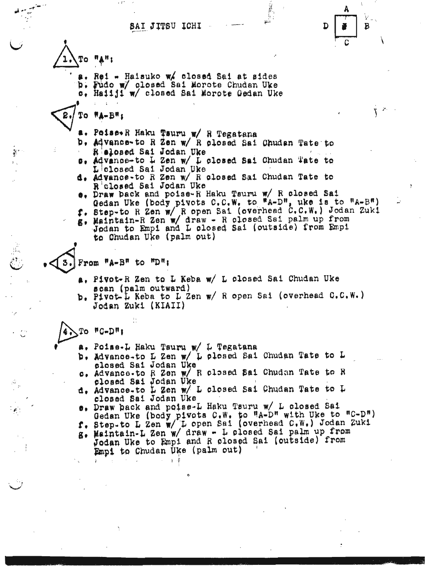SAI JITSU ICHI

≹



À.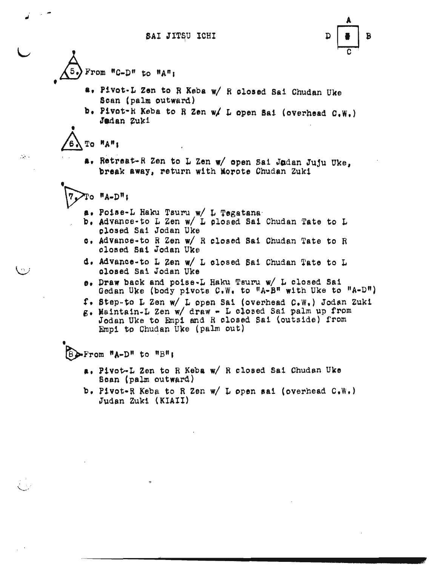

- $From$   $"C-D"$  to  $"An'$ 
	- at P1vot·L Zen to R Keba *wi* ft olosed Sal Chudan Uke Scan (palm outward)
	- b. Pivot-H Keba to R Zen w/ L open Sai (overhead  $C.W.$ ) Jadan Zuki

•<br>\  $T^{\circ}$   $H^{\circ}$   $H^{\circ}$   $I^{\circ}$ 

 $:$  .

f

a. Retreat-R Zen to L Zen w/ open Sai Jodan Juju Uke, break away, return with Morote Chudan Zuki • •

 $\Pi$ o "A-D":

- 
- **a. Poise-L Haku Tsuru w/ L Tegatana** .<br>b. Advance-to L Zen w/ L plosed Sai Chudan Tate to L closed Sai Jodan Uke
- c. Advance-to R Zen w/ R closed Sai Chudan Tate to R closed Sai Jodan Uke
- ~. Advance-to L Zen *wi* L olosed Sal Chudan ~ate to L olosed Sal Jodan Uke
- e. Praw back and po1se-L Haku Tsuru *wi* L closed Sal Gedan Uke (body pivots C.W. to  $H_A-B^{\pi}$  with Uke to  $H_A-D^{\pi}$ )
- f. Step-to L Zen w/ L open Sai (overhead C.W.) Jodan Zuki
- g. Maintain-L Zen w/ draw L closed Sai palm up from Jodan Uke to Emp1 and R olosed sai (outside) from Empi to Chudan Uke (palm out)

• ~From "A-Dr! to "Bn,

- •• Plvot-L Zen to R Keba *wi* R closed Sal Chudan Uke Scan (palm outward)
- b. Pivot-R Keba to R Zen w/ L open sai (overhead C.W.) Judan Zukl (KIAlI)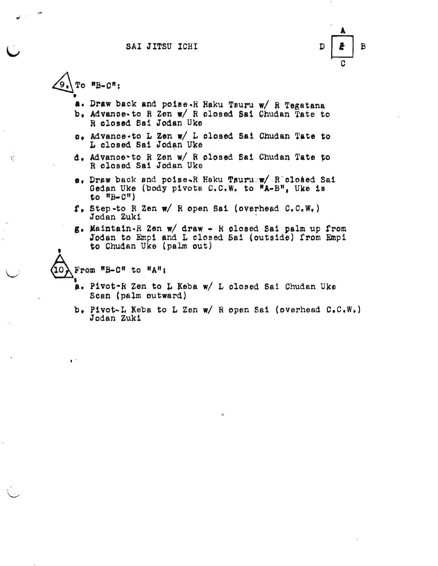SAI JITSU ICHI



To  $n_{B-C}n$ : ʹ9.

ď,

- a. Draw back and poise-R Haku Tsuru w/ R Tegatana
- b. Advance-to R Zen w/ R closed Sai Chudan Tate to R closed Sai Jodan Uke
- s. Advance.to L Zen w/ L closed Sai Chudan Tate to L closed Sai Jodan Uke
- d. Advance to R Zen w/ R closed Sai Chudan Tate to R closed Sai Jodan Uke
- e. Draw back and poise-R Haku Tsuruw/ R closed Sai Gedan Uke (body pivots C.C.W. to "A-B", Uke is to  $^{\eta}$ B-C")
- $f_*$  Step-to R Zen  $w/$  R open Sai (overhead C.C.W.) Jodan Zuki
- g. Maintain-R Zen w/ draw R closed Sai palm up from Jodan to Empi and L closed Sai (outside) from Empi to Chudan Uke (palm out)

From "B-C" to "A";

 $\mathbf{r}^{-1}$ 

- a. Pivot-R Zen to L Keba w/ L closed Sai Chudan Uke Scan (palm outward)
- b. Pivot-L Keba to L Zen w/ R open Sai (overhead C.C.W.) Jodan Zuki

 $\mathcal{O}$